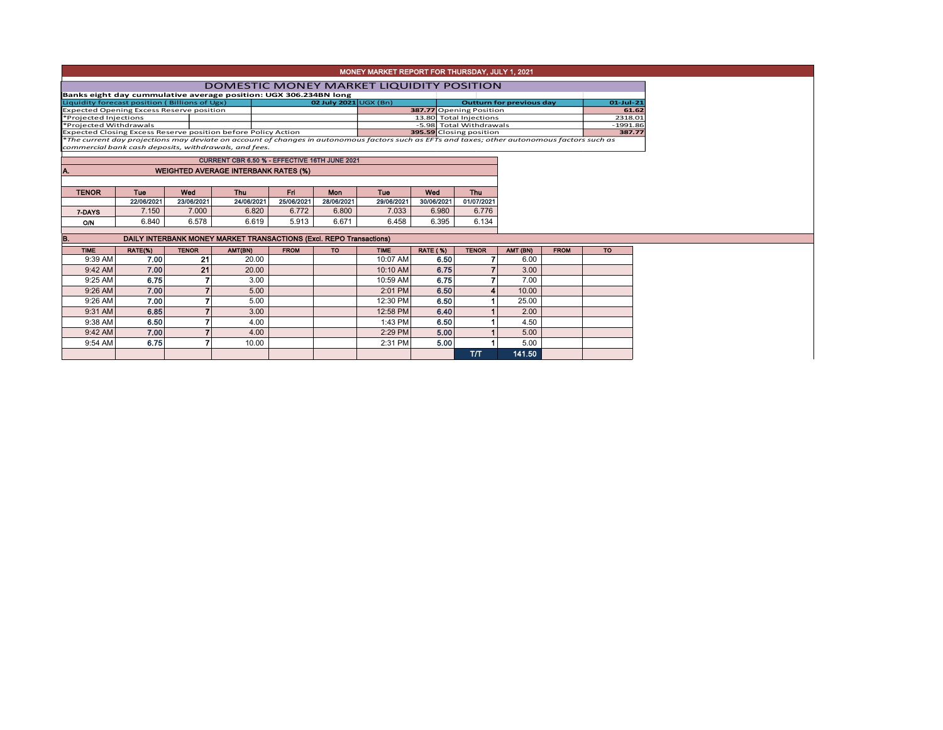|                                                                      |  | <b>DOMESTIC MONEY MARKET LIQUIDITY POSITION</b> |                                 |                                                                                                                                                  |            |
|----------------------------------------------------------------------|--|-------------------------------------------------|---------------------------------|--------------------------------------------------------------------------------------------------------------------------------------------------|------------|
|                                                                      |  |                                                 |                                 |                                                                                                                                                  |            |
| Banks eight day cummulative average position: UGX 306.234BN long     |  |                                                 |                                 |                                                                                                                                                  |            |
| Liquidity forecast position (Billions of Ugx)                        |  | 02 July 2021 UGX (Bn)                           | <b>Outturn for previous day</b> | $01 -$ Jul-21                                                                                                                                    |            |
| <b>Expected Opening Excess Reserve position</b>                      |  |                                                 |                                 | 387.77 Opening Position                                                                                                                          | 61.62      |
| *Projected Injections                                                |  |                                                 |                                 | 13.80 Total Injections                                                                                                                           | 2318.01    |
| *Projected Withdrawals                                               |  |                                                 |                                 | -5.98 Total Withdrawals                                                                                                                          | $-1991.86$ |
| <b>Expected Closing Excess Reserve position before Policy Action</b> |  |                                                 |                                 | 395.59 Closing position                                                                                                                          | 387.77     |
|                                                                      |  |                                                 |                                 | $*$ The current day projections may deviate on account of changes in autonomous factors such as FETs and taxes; other autonomous factors such as |            |

Expected Closing Excess Reserve position before Policy Action **395.59** Closing position **387.77** \**The current day projections may deviate on account of changes in autonomous factors such as EFTs and taxes; other autonomous factors such as commercial bank cash deposits, withdrawals, and fees.*

| CURRENT CBR 6.50 % - EFFECTIVE 16TH JUNE 2021      |            |            |            |            |            |            |            |            |  |  |  |  |  |
|----------------------------------------------------|------------|------------|------------|------------|------------|------------|------------|------------|--|--|--|--|--|
|                                                    |            |            |            |            |            |            |            |            |  |  |  |  |  |
| <b>WEIGHTED AVERAGE INTERBANK RATES (%)</b><br>IA. |            |            |            |            |            |            |            |            |  |  |  |  |  |
|                                                    |            |            |            |            |            |            |            |            |  |  |  |  |  |
|                                                    |            |            |            |            |            |            |            |            |  |  |  |  |  |
|                                                    |            |            |            |            |            |            |            |            |  |  |  |  |  |
| <b>TENOR</b>                                       | <b>Tue</b> | Wed        | <b>Thu</b> | Fri        | Mon        | Tue        | Wed        | Thu        |  |  |  |  |  |
|                                                    | 22/06/2021 | 23/06/2021 | 24/06/2021 | 25/06/2021 | 28/06/2021 | 29/06/2021 | 30/06/2021 | 01/07/2021 |  |  |  |  |  |
| 7-DAYS                                             | 7.150      | 7.000      | 6.820      | 6.772      | 6.800      | 7.033      | 6.980      | 6.776      |  |  |  |  |  |

| B.<br>DAILY INTERBANK MONEY MARKET TRANSACTIONS (Excl. REPO Transactions) |         |              |         |             |           |             |                 |              |          |             |           |  |
|---------------------------------------------------------------------------|---------|--------------|---------|-------------|-----------|-------------|-----------------|--------------|----------|-------------|-----------|--|
| <b>TIME</b>                                                               | RATE(%) | <b>TENOR</b> | AMT(BN) | <b>FROM</b> | <b>TO</b> | <b>TIME</b> | <b>RATE (%)</b> | <b>TENOR</b> | AMT (BN) | <b>FROM</b> | <b>TO</b> |  |
| 9:39 AM                                                                   | 7.00    | 21           | 20.00   |             |           | 10:07 AM    | 6.50            |              | 6.00     |             |           |  |
| $9:42$ AM                                                                 | 7.00    | 21           | 20.00   |             |           | 10:10 AM    | 6.75            |              | 3.00     |             |           |  |
| 9:25 AM                                                                   | 6.75    |              | 3.00    |             |           | 10:59 AM    | 6.75            |              | 7.00     |             |           |  |
| 9:26 AM                                                                   | 7.00    |              | 5.00    |             |           | 2:01 PM     | 6.50            | 4            | 10.00    |             |           |  |
| 9:26 AM                                                                   | 7.00    |              | 5.00    |             |           | 12:30 PM    | 6.50            |              | 25.00    |             |           |  |
| 9:31 AM                                                                   | 6.85    |              | 3.00    |             |           | 12:58 PM    | 6.40            |              | 2.00     |             |           |  |
| 9:38 AM                                                                   | 6.50    |              | 4.00    |             |           | 1:43 PM     | 6.50            |              | 4.50     |             |           |  |
| 9:42 AM                                                                   | 7.00    |              | 4.00    |             |           | 2:29 PM     | 5.00            |              | 5.00     |             |           |  |
| 9:54 AM                                                                   | 6.75    |              | 10.00   |             |           | 2:31 PM     | 5.00            |              | 5.00     |             |           |  |
|                                                                           |         |              |         |             |           |             |                 | тл           | 141.50   |             |           |  |

## MONEY MARKET REPORT FOR THURSDAY, JULY 1, 2021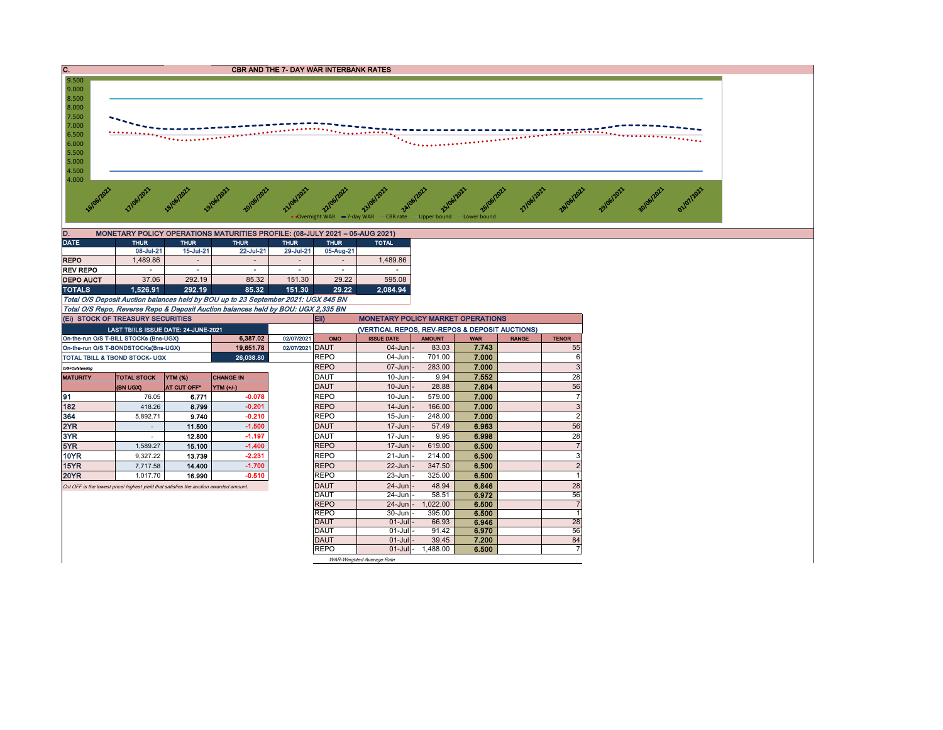